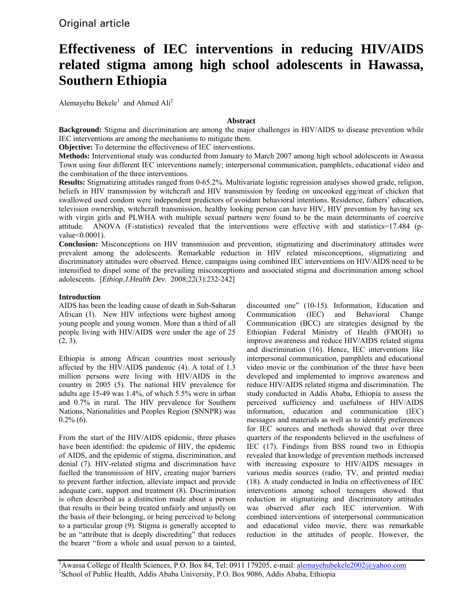# **Effectiveness of IEC interventions in reducing HIV/AIDS related stigma among high school adolescents in Hawassa, Southern Ethiopia**

Alemayehu Bekele<sup>1</sup> and Ahmed  $\text{Ali}^2$ 

# **Abstract**

**Background:** Stigma and discrimination are among the major challenges in HIV/AIDS to disease prevention while IEC interventions are among the mechanisms to mitigate them.

**Objective:** To determine the effectiveness of IEC interventions.

**Methods:** Interventional study was conducted from January to March 2007 among high school adolescents in Awassa Town using four different IEC interventions namely; interpersonal communication, pamphlets, educational video and the combination of the three interventions.

**Results:** Stigmatizing attitudes ranged from 0-65.2%. Multivariate logistic regression analyses showed grade, religion, beliefs in HIV transmission by witchcraft and HIV transmission by feeding on uncooked egg/meat of chicken that swallowed used condom were independent predictors of avoidant behavioral intentions. Residence, fathers' education, television ownership, witchcraft transmission, healthy looking person can have HIV, HIV prevention by having sex with virgin girls and PLWHA with multiple sexual partners were found to be the main determinants of coercive attitude. ANOVA (F-statistics) revealed that the interventions were effective with and statistics=17.484 (pvalue<0.0001).

**Conclusion:** Misconceptions on HIV transmission and prevention, stigmatizing and discriminatory attitudes were prevalent among the adolescents. Remarkable reduction in HIV related misconceptions, stigmatizing and discriminatory attitudes were observed. Hence, campaigns using combined IEC interventions on HIV/AIDS need to be intensified to dispel some of the prevailing misconceptions and associated stigma and discrimination among school adolescents. [*Ethiop.J.Health Dev.* 2008;22(3):232-242]

# **Introduction**

AIDS has been the leading cause of death in Sub-Saharan African (1). New HIV infections were highest among young people and young women. More than a third of all people living with HIV/AIDS were under the age of 25  $(2, 3)$ .

Ethiopia is among African countries most seriously affected by the HIV/AIDS pandemic (4). A total of 1.3 million persons were living with HIV/AIDS in the country in 2005 (5). The national HIV prevalence for adults age 15-49 was 1.4%, of which 5.5% were in urban and 0.7% in rural. The HIV prevalence for Southern Nations, Nationalities and Peoples Region (SNNPR) was  $0.2\%$  (6).

From the start of the HIV/AIDS epidemic, three phases have been identified: the epidemic of HIV, the epidemic of AIDS, and the epidemic of stigma, discrimination, and denial (7). HIV-related stigma and discrimination have fuelled the transmission of HIV, creating major barriers to prevent further infection, alleviate impact and provide adequate care, support and treatment (8). Discrimination is often described as a distinction made about a person that results in their being treated unfairly and unjustly on the basis of their belonging, or being perceived to belong to a particular group (9). Stigma is generally accepted to be an "attribute that is deeply discrediting" that reduces the bearer "from a whole and usual person to a tainted,

discounted one" (10-15). Information, Education and Communication (IEC) and Behavioral Change Communication (BCC) are strategies designed by the Ethiopian Federal Ministry of Health (FMOH) to improve awareness and reduce HIV/AIDS related stigma and discrimination (16). Hence, IEC interventions like interpersonal communication, pamphlets and educational video movie or the combination of the three have been developed and implemented to improve awareness and reduce HIV/AIDS related stigma and discrimination. The study conducted in Addis Ababa, Ethiopia to assess the perceived sufficiency and usefulness of HIV/AIDS information, education and communication (IEC) messages and materials as well as to identify preferences for IEC sources and methods showed that over three quarters of the respondents believed in the usefulness of IEC (17). Findings from BSS round two in Ethiopia revealed that knowledge of prevention methods increased with increasing exposure to HIV/AIDS messages in various media sources (radio, TV, and printed media) (18). A study conducted in India on effectiveness of IEC interventions among school teenagers showed that reduction in stigmatizing and discriminatory attitudes was observed after each IEC intervention. With combined interventions of interpersonal communication and educational video movie, there was remarkable reduction in the attitudes of people. However, the

<sup>1</sup> Awassa College of Health Sciences, P.O. Box 84, Tel: 0911 179205, e-mail: <u>alemayehubekele2002@yahoo.com</u><br><sup>2</sup>Sebecl of Public Health, Addis Abebe University, P.O. Box 0086, Addis Abebe, Ethiopic <sup>2</sup>School of Public Health, Addis Ababa University, P.O. Box 9086, Addis Ababa, Ethiopia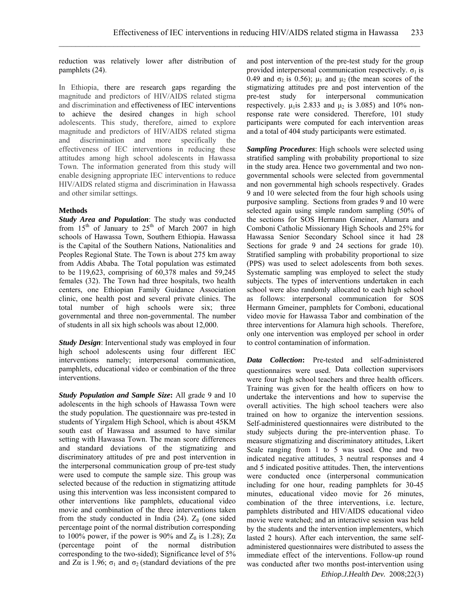reduction was relatively lower after distribution of pamphlets (24).

In Ethiopia, there are research gaps regarding the magnitude and predictors of HIV/AIDS related stigma and discrimination and effectiveness of IEC interventions to achieve the desired changes in high school adolescents. This study, therefore, aimed to explore magnitude and predictors of HIV/AIDS related stigma and discrimination and more specifically the effectiveness of IEC interventions in reducing these attitudes among high school adolescents in Hawassa Town. The information generated from this study will enable designing appropriate IEC interventions to reduce HIV/AIDS related stigma and discrimination in Hawassa and other similar settings.

## **Methods**

*Study Area and Population*: The study was conducted from  $15<sup>th</sup>$  of January to  $25<sup>th</sup>$  of March 2007 in high schools of Hawassa Town, Southern Ethiopia. Hawassa is the Capital of the Southern Nations, Nationalities and Peoples Regional State. The Town is about 275 km away from Addis Ababa. The Total population was estimated to be 119,623, comprising of 60,378 males and 59,245 females (32). The Town had three hospitals, two health centers, one Ethiopian Family Guidance Association clinic, one health post and several private clinics. The total number of high schools were six; three governmental and three non-governmental. The number of students in all six high schools was about 12,000.

*Study Design*: Interventional study was employed in four high school adolescents using four different IEC interventions namely; interpersonal communication, pamphlets, educational video or combination of the three interventions.

*Study Population and Sample Size***:** All grade 9 and 10 adolescents in the high schools of Hawassa Town were the study population. The questionnaire was pre-tested in students of Yirgalem High School, which is about 45KM south east of Hawassa and assumed to have similar setting with Hawassa Town. The mean score differences and standard deviations of the stigmatizing and discriminatory attitudes of pre and post intervention in the interpersonal communication group of pre-test study were used to compute the sample size. This group was selected because of the reduction in stigmatizing attitude using this intervention was less inconsistent compared to other interventions like pamphlets, educational video movie and combination of the three interventions taken from the study conducted in India  $(24)$ .  $Z_B$  (one sided percentage point of the normal distribution corresponding to 100% power, if the power is 90% and  $Z_\beta$  is 1.28);  $Z\alpha$ (percentage point of the normal distribution corresponding to the two-sided); Significance level of 5% and Z $\alpha$  is 1.96;  $\sigma_1$  and  $\sigma_2$  (standard deviations of the pre and post intervention of the pre-test study for the group provided interpersonal communication respectively.  $\sigma_1$  is 0.49 and  $\sigma_2$  is 0.56);  $\mu_1$  and  $\mu_2$  (the mean scores of the stigmatizing attitudes pre and post intervention of the pre-test study for interpersonal communication respectively.  $\mu_1$  is 2.833 and  $\mu_2$  is 3.085) and 10% nonresponse rate were considered. Therefore, 101 study participants were computed for each intervention areas and a total of 404 study participants were estimated.

*Sampling Procedures*: High schools were selected using stratified sampling with probability proportional to size in the study area. Hence two governmental and two nongovernmental schools were selected from governmental and non governmental high schools respectively. Grades 9 and 10 were selected from the four high schools using purposive sampling. Sections from grades 9 and 10 were selected again using simple random sampling (50% of the sections for SOS Hermann Gmeiner, Alamura and Comboni Catholic Missionary High Schools and 25% for Hawassa Senior Secondary School since it had 28 Sections for grade 9 and 24 sections for grade 10). Stratified sampling with probability proportional to size (PPS) was used to select adolescents from both sexes. Systematic sampling was employed to select the study subjects. The types of interventions undertaken in each school were also randomly allocated to each high school as follows: interpersonal communication for SOS Hermann Gmeiner, pamphlets for Comboni, educational video movie for Hawassa Tabor and combination of the three interventions for Alamura high schools. Therefore, only one intervention was employed per school in order to control contamination of information.

*Data Collection***:** Pre-tested and self-administered questionnaires were used. Data collection supervisors were four high school teachers and three health officers. Training was given for the health officers on how to undertake the interventions and how to supervise the overall activities. The high school teachers were also trained on how to organize the intervention sessions. Self-administered questionnaires were distributed to the study subjects during the pre-intervention phase. To measure stigmatizing and discriminatory attitudes, Likert Scale ranging from 1 to 5 was used. One and two indicated negative attitudes, 3 neutral responses and 4 and 5 indicated positive attitudes. Then, the interventions were conducted once (interpersonal communication including for one hour, reading pamphlets for 30-45 minutes, educational video movie for 26 minutes, combination of the three interventions, i.e. lecture, pamphlets distributed and HIV/AIDS educational video movie were watched; and an interactive session was held by the students and the intervention implementers, which lasted 2 hours). After each intervention, the same selfadministered questionnaires were distributed to assess the immediate effect of the interventions. Follow-up round was conducted after two months post-intervention using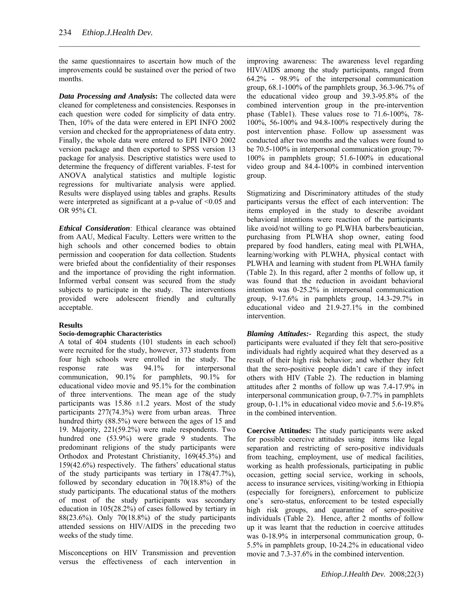the same questionnaires to ascertain how much of the improvements could be sustained over the period of two months.

 $\mathcal{L}_\mathcal{L} = \{ \mathcal{L}_\mathcal{L} = \{ \mathcal{L}_\mathcal{L} = \{ \mathcal{L}_\mathcal{L} = \{ \mathcal{L}_\mathcal{L} = \{ \mathcal{L}_\mathcal{L} = \{ \mathcal{L}_\mathcal{L} = \{ \mathcal{L}_\mathcal{L} = \{ \mathcal{L}_\mathcal{L} = \{ \mathcal{L}_\mathcal{L} = \{ \mathcal{L}_\mathcal{L} = \{ \mathcal{L}_\mathcal{L} = \{ \mathcal{L}_\mathcal{L} = \{ \mathcal{L}_\mathcal{L} = \{ \mathcal{L}_\mathcal{$ 

*Data Processing and Analysis***:** The collected data were cleaned for completeness and consistencies. Responses in each question were coded for simplicity of data entry. Then, 10% of the data were entered in EPI INFO 2002 version and checked for the appropriateness of data entry. Finally, the whole data were entered to EPI INFO 2002 version package and then exported to SPSS version 13 package for analysis. Descriptive statistics were used to determine the frequency of different variables. F-test for ANOVA analytical statistics and multiple logistic regressions for multivariate analysis were applied. Results were displayed using tables and graphs. Results were interpreted as significant at a p-value of  $\leq 0.05$  and OR 95% CI.

*Ethical Consideration*: Ethical clearance was obtained from AAU, Medical Faculty. Letters were written to the high schools and other concerned bodies to obtain permission and cooperation for data collection. Students were briefed about the confidentiality of their responses and the importance of providing the right information. Informed verbal consent was secured from the study subjects to participate in the study. The interventions provided were adolescent friendly and culturally acceptable.

## **Results**

#### **Socio-demographic Characteristics**

A total of 404 students (101 students in each school) were recruited for the study, however, 373 students from four high schools were enrolled in the study. The response rate was 94.1% for interpersonal communication, 90.1% for pamphlets, 90.1% for educational video movie and 95.1% for the combination of three interventions. The mean age of the study participants was  $15.86 \pm 1.2$  years. Most of the study participants 277(74.3%) were from urban areas. Three hundred thirty (88.5%) were between the ages of 15 and 19. Majority, 221(59.2%) were male respondents. Two hundred one (53.9%) were grade 9 students. The predominant religions of the study participants were Orthodox and Protestant Christianity, 169(45.3%) and 159(42.6%) respectively. The fathers' educational status of the study participants was tertiary in 178(47.7%), followed by secondary education in 70(18.8%) of the study participants. The educational status of the mothers of most of the study participants was secondary education in 105(28.2%) of cases followed by tertiary in 88(23.6%). Only 70(18.8%) of the study participants attended sessions on HIV/AIDS in the preceding two weeks of the study time.

Misconceptions on HIV Transmission and prevention versus the effectiveness of each intervention in improving awareness: The awareness level regarding HIV/AIDS among the study participants, ranged from 64.2% - 98.9% of the interpersonal communication group, 68.1-100% of the pamphlets group, 36.3-96.7% of the educational video group and 39.3-95.8% of the combined intervention group in the pre-intervention phase (Table1). These values rose to 71.6-100%, 78- 100%, 56-100% and 94.8-100% respectively during the post intervention phase. Follow up assessment was conducted after two months and the values were found to be 70.5-100% in interpersonal communication group; 79- 100% in pamphlets group; 51.6-100% in educational video group and 84.4-100% in combined intervention group.

Stigmatizing and Discriminatory attitudes of the study participants versus the effect of each intervention: The items employed in the study to describe avoidant behavioral intentions were reaction of the participants like avoid/not willing to go PLWHA barbers/beautician, purchasing from PLWHA shop owner, eating food prepared by food handlers, eating meal with PLWHA, learning/working with PLWHA, physical contact with PLWHA and learning with student from PLWHA family (Table 2). In this regard, after 2 months of follow up, it was found that the reduction in avoidant behavioral intention was 0-25.2% in interpersonal communication group, 9-17.6% in pamphlets group, 14.3-29.7% in educational video and 21.9-27.1% in the combined intervention.

*Blaming Attitudes:-* Regarding this aspect, the study participants were evaluated if they felt that sero-positive individuals had rightly acquired what they deserved as a result of their high risk behavior; and whether they felt that the sero-positive people didn't care if they infect others with HIV (Table 2). The reduction in blaming attitudes after 2 months of follow up was 7.4-17.9% in interpersonal communication group, 0-7.7% in pamphlets group, 0-1.1% in educational video movie and 5.6-19.8% in the combined intervention.

**Coercive Attitudes:** The study participants were asked for possible coercive attitudes using items like legal separation and restricting of sero-positive individuals from teaching, employment, use of medical facilities, working as health professionals, participating in public occasion, getting social service, working in schools, access to insurance services, visiting/working in Ethiopia (especially for foreigners), enforcement to publicize one's sero-status, enforcement to be tested especially high risk groups, and quarantine of sero-positive individuals (Table 2). Hence, after 2 months of follow up it was learnt that the reduction in coercive attitudes was 0-18.9% in interpersonal communication group, 0- 5.5% in pamphlets group, 10-24.2% in educational video movie and 7.3-37.6% in the combined intervention.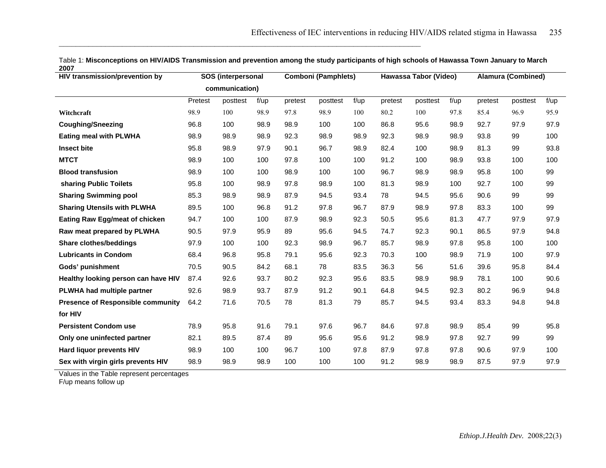| ZUV<br><b>HIV transmission/prevention by</b> | SOS (interpersonal |          |           |         | <b>Comboni (Pamphlets)</b> |           |         | Hawassa Tabor (Video) |           |         | <b>Alamura (Combined)</b> |           |  |
|----------------------------------------------|--------------------|----------|-----------|---------|----------------------------|-----------|---------|-----------------------|-----------|---------|---------------------------|-----------|--|
|                                              | communication)     |          |           |         |                            |           |         |                       |           |         |                           |           |  |
|                                              | Pretest            | posttest | $f/\mu p$ | pretest | posttest                   | $f/\mu p$ | pretest | posttest              | $f/\mu p$ | pretest | posttest                  | $f/\mu p$ |  |
| Witchcraft                                   | 98.9               | 100      | 98.9      | 97.8    | 98.9                       | 100       | 80.2    | 100                   | 97.8      | 85.4    | 96.9                      | 95.9      |  |
| <b>Coughing/Sneezing</b>                     | 96.8               | 100      | 98.9      | 98.9    | 100                        | 100       | 86.8    | 95.6                  | 98.9      | 92.7    | 97.9                      | 97.9      |  |
| <b>Eating meal with PLWHA</b>                | 98.9               | 98.9     | 98.9      | 92.3    | 98.9                       | 98.9      | 92.3    | 98.9                  | 98.9      | 93.8    | 99                        | 100       |  |
| Insect bite                                  | 95.8               | 98.9     | 97.9      | 90.1    | 96.7                       | 98.9      | 82.4    | 100                   | 98.9      | 81.3    | 99                        | 93.8      |  |
| <b>MTCT</b>                                  | 98.9               | 100      | 100       | 97.8    | 100                        | 100       | 91.2    | 100                   | 98.9      | 93.8    | 100                       | 100       |  |
| <b>Blood transfusion</b>                     | 98.9               | 100      | 100       | 98.9    | 100                        | 100       | 96.7    | 98.9                  | 98.9      | 95.8    | 100                       | 99        |  |
| sharing Public Toilets                       | 95.8               | 100      | 98.9      | 97.8    | 98.9                       | 100       | 81.3    | 98.9                  | 100       | 92.7    | 100                       | 99        |  |
| <b>Sharing Swimming pool</b>                 | 85.3               | 98.9     | 98.9      | 87.9    | 94.5                       | 93.4      | 78      | 94.5                  | 95.6      | 90.6    | 99                        | 99        |  |
| <b>Sharing Utensils with PLWHA</b>           | 89.5               | 100      | 96.8      | 91.2    | 97.8                       | 96.7      | 87.9    | 98.9                  | 97.8      | 83.3    | 100                       | 99        |  |
| <b>Eating Raw Egg/meat of chicken</b>        | 94.7               | 100      | 100       | 87.9    | 98.9                       | 92.3      | 50.5    | 95.6                  | 81.3      | 47.7    | 97.9                      | 97.9      |  |
| Raw meat prepared by PLWHA                   | 90.5               | 97.9     | 95.9      | 89      | 95.6                       | 94.5      | 74.7    | 92.3                  | 90.1      | 86.5    | 97.9                      | 94.8      |  |
| <b>Share clothes/beddings</b>                | 97.9               | 100      | 100       | 92.3    | 98.9                       | 96.7      | 85.7    | 98.9                  | 97.8      | 95.8    | 100                       | 100       |  |
| <b>Lubricants in Condom</b>                  | 68.4               | 96.8     | 95.8      | 79.1    | 95.6                       | 92.3      | 70.3    | 100                   | 98.9      | 71.9    | 100                       | 97.9      |  |
| Gods' punishment                             | 70.5               | 90.5     | 84.2      | 68.1    | 78                         | 83.5      | 36.3    | 56                    | 51.6      | 39.6    | 95.8                      | 84.4      |  |
| Healthy looking person can have HIV          | 87.4               | 92.6     | 93.7      | 80.2    | 92.3                       | 95.6      | 83.5    | 98.9                  | 98.9      | 78.1    | 100                       | 90.6      |  |
| PLWHA had multiple partner                   | 92.6               | 98.9     | 93.7      | 87.9    | 91.2                       | 90.1      | 64.8    | 94.5                  | 92.3      | 80.2    | 96.9                      | 94.8      |  |
| <b>Presence of Responsible community</b>     | 64.2               | 71.6     | 70.5      | 78      | 81.3                       | 79        | 85.7    | 94.5                  | 93.4      | 83.3    | 94.8                      | 94.8      |  |
| for HIV                                      |                    |          |           |         |                            |           |         |                       |           |         |                           |           |  |
| <b>Persistent Condom use</b>                 | 78.9               | 95.8     | 91.6      | 79.1    | 97.6                       | 96.7      | 84.6    | 97.8                  | 98.9      | 85.4    | 99                        | 95.8      |  |
| Only one uninfected partner                  | 82.1               | 89.5     | 87.4      | 89      | 95.6                       | 95.6      | 91.2    | 98.9                  | 97.8      | 92.7    | 99                        | 99        |  |
| <b>Hard liquor prevents HIV</b>              | 98.9               | 100      | 100       | 96.7    | 100                        | 97.8      | 87.9    | 97.8                  | 97.8      | 90.6    | 97.9                      | 100       |  |
| Sex with virgin girls prevents HIV           | 98.9               | 98.9     | 98.9      | 100     | 100                        | 100       | 91.2    | 98.9                  | 98.9      | 87.5    | 97.9                      | 97.9      |  |

Table 1: **Misconceptions on HIV/AIDS Transmission and prevention among the study participants of high schools of Hawassa Town January to March 2007** 

 $\_$  . The contribution of the contribution of the contribution of the contribution of the contribution of the contribution of the contribution of the contribution of the contribution of the contribution of the contributio

Values in the Table represent percentages

F/up means follow up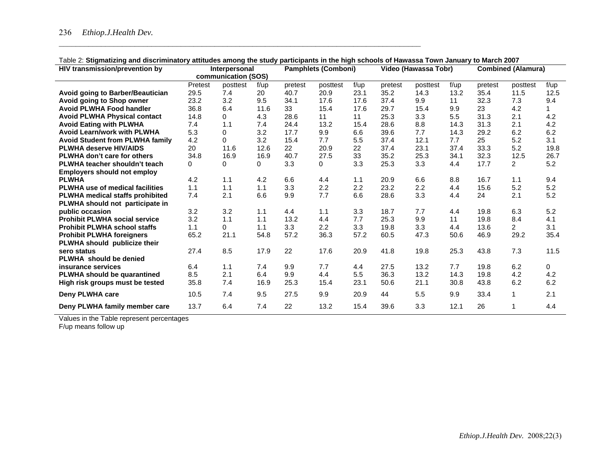| <b>HIV transmission/prevention by</b>  | Interpersonal |                     |           | <b>Pamphlets (Comboni)</b> |          | Video (Hawassa Tobr) |         |          |           | <b>Combined (Alamura)</b> |                |           |
|----------------------------------------|---------------|---------------------|-----------|----------------------------|----------|----------------------|---------|----------|-----------|---------------------------|----------------|-----------|
|                                        |               | communication (SOS) |           |                            |          |                      |         |          |           |                           |                |           |
|                                        | Pretest       | posttest            | $f/\mu p$ | pretest                    | posttest | $f/\mu p$            | pretest | posttest | $f/\mu p$ | pretest                   | posttest       | $f/\mu p$ |
| Avoid going to Barber/Beautician       | 29.5          | 7.4                 | 20        | 40.7                       | 20.9     | 23.1                 | 35.2    | 14.3     | 13.2      | 35.4                      | 11.5           | 12.5      |
| Avoid going to Shop owner              | 23.2          | 3.2                 | 9.5       | 34.1                       | 17.6     | 17.6                 | 37.4    | 9.9      | 11        | 32.3                      | 7.3            | 9.4       |
| <b>Avoid PLWHA Food handler</b>        | 36.8          | 6.4                 | 11.6      | 33                         | 15.4     | 17.6                 | 29.7    | 15.4     | 9.9       | 23                        | 4.2            |           |
| <b>Avoid PLWHA Physical contact</b>    | 14.8          | 0                   | 4.3       | 28.6                       | 11       | 11                   | 25.3    | 3.3      | 5.5       | 31.3                      | 2.1            | 4.2       |
| <b>Avoid Eating with PLWHA</b>         | 7.4           | 1.1                 | 7.4       | 24.4                       | 13.2     | 15.4                 | 28.6    | 8.8      | 14.3      | 31.3                      | 2.1            | 4.2       |
| <b>Avoid Learn/work with PLWHA</b>     | 5.3           | 0                   | 3.2       | 17.7                       | 9.9      | 6.6                  | 39.6    | 7.7      | 14.3      | 29.2                      | 6.2            | 6.2       |
| <b>Avoid Student from PLWHA family</b> | 4.2           | 0                   | 3.2       | 15.4                       | 7.7      | 5.5                  | 37.4    | 12.1     | 7.7       | 25                        | 5.2            | 3.1       |
| <b>PLWHA deserve HIV/AIDS</b>          | 20            | 11.6                | 12.6      | 22                         | 20.9     | 22                   | 37.4    | 23.1     | 37.4      | 33.3                      | 5.2            | 19.8      |
| PLWHA don't care for others            | 34.8          | 16.9                | 16.9      | 40.7                       | 27.5     | 33                   | 35.2    | 25.3     | 34.1      | 32.3                      | 12.5           | 26.7      |
| PLWHA teacher shouldn't teach          | 0             | 0                   | 0         | 3.3                        | 0        | 3.3                  | 25.3    | 3.3      | 4.4       | 17.7                      | $\overline{2}$ | 5.2       |
| <b>Employers should not employ</b>     |               |                     |           |                            |          |                      |         |          |           |                           |                |           |
| <b>PLWHA</b>                           | 4.2           | 1.1                 | 4.2       | 6.6                        | 4.4      | 1.1                  | 20.9    | 6.6      | 8.8       | 16.7                      | 1.1            | 9.4       |
| <b>PLWHA use of medical facilities</b> | 1.1           | 1.1                 | 1.1       | 3.3                        | 2.2      | 2.2                  | 23.2    | 2.2      | 4.4       | 15.6                      | 5.2            | 5.2       |
| PLWHA medical staffs prohibited        | 7.4           | 2.1                 | 6.6       | 9.9                        | 7.7      | 6.6                  | 28.6    | 3.3      | 4.4       | 24                        | 2.1            | 5.2       |
| PLWHA should not participate in        |               |                     |           |                            |          |                      |         |          |           |                           |                |           |
| public occasion                        | 3.2           | 3.2                 | 1.1       | 4.4                        | 1.1      | 3.3                  | 18.7    | 7.7      | 4.4       | 19.8                      | 6.3            | 5.2       |
| <b>Prohibit PLWHA social service</b>   | 3.2           | 1.1                 | 1.1       | 13.2                       | 4.4      | 7.7                  | 25.3    | 9.9      | 11        | 19.8                      | 8.4            | 4.1       |
| <b>Prohibit PLWHA school staffs</b>    | 1.1           | 0                   | 1.1       | 3.3                        | 2.2      | 3.3                  | 19.8    | 3.3      | 4.4       | 13.6                      | $\overline{2}$ | 3.1       |
| <b>Prohibit PLWHA foreigners</b>       | 65.2          | 21.1                | 54.8      | 57.2                       | 36.3     | 57.2                 | 60.5    | 47.3     | 50.6      | 46.9                      | 29.2           | 35.4      |
| PLWHA should publicize their           |               |                     |           |                            |          |                      |         |          |           |                           |                |           |
| sero status                            | 27.4          | 8.5                 | 17.9      | 22                         | 17.6     | 20.9                 | 41.8    | 19.8     | 25.3      | 43.8                      | 7.3            | 11.5      |
| PLWHA should be denied                 |               |                     |           |                            |          |                      |         |          |           |                           |                |           |
| insurance services                     | 6.4           | 1.1                 | 7.4       | 9.9                        | 7.7      | 4.4                  | 27.5    | 13.2     | 7.7       | 19.8                      | 6.2            | 0         |
| PLWHA should be quarantined            | 8.5           | 2.1                 | 6.4       | 9.9                        | 4.4      | 5.5                  | 36.3    | 13.2     | 14.3      | 19.8                      | 4.2            | 4.2       |
| High risk groups must be tested        | 35.8          | 7.4                 | 16.9      | 25.3                       | 15.4     | 23.1                 | 50.6    | 21.1     | 30.8      | 43.8                      | 6.2            | 6.2       |
| Deny PLWHA care                        | 10.5          | 7.4                 | 9.5       | 27.5                       | 9.9      | 20.9                 | 44      | 5.5      | 9.9       | 33.4                      | $\mathbf 1$    | 2.1       |
| Deny PLWHA family member care          | 13.7          | 6.4                 | 7.4       | 22                         | 13.2     | 15.4                 | 39.6    | 3.3      | 12.1      | 26                        | 1              | 4.4       |

# Table 2: **Stigmatizing and discriminatory attitudes among the study participants in the high schools of Hawassa Town January to March 2007**

 $\_$  . The contribution of the contribution of the contribution of the contribution of the contribution of the contribution of the contribution of the contribution of the contribution of the contribution of the contributio

Values in the Table represent percentages

F/up means follow up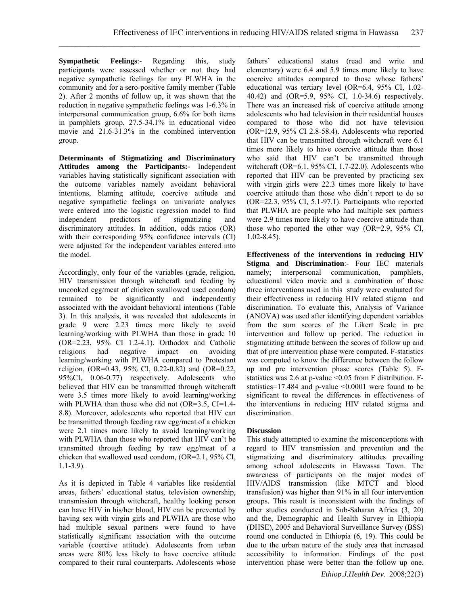**Sympathetic Feelings**:- Regarding this, study participants were assessed whether or not they had negative sympathetic feelings for any PLWHA in the community and for a sero-positive family member (Table 2). After 2 months of follow up, it was shown that the reduction in negative sympathetic feelings was 1-6.3% in interpersonal communication group, 6.6% for both items in pamphlets group, 27.5-34.1% in educational video movie and 21.6-31.3% in the combined intervention group.

**Determinants of Stigmatizing and Discriminatory Attitudes among the Participants:-** Independent variables having statistically significant association with the outcome variables namely avoidant behavioral intentions, blaming attitude, coercive attitude and negative sympathetic feelings on univariate analyses were entered into the logistic regression model to find independent predictors of stigmatizing and discriminatory attitudes. In addition, odds ratios (OR) with their corresponding 95% confidence intervals (CI) were adjusted for the independent variables entered into the model

Accordingly, only four of the variables (grade, religion, HIV transmission through witchcraft and feeding by uncooked egg/meat of chicken swallowed used condom) remained to be significantly and independently associated with the avoidant behavioral intentions (Table 3). In this analysis, it was revealed that adolescents in grade 9 were 2.23 times more likely to avoid learning/working with PLWHA than those in grade 10 (OR=2.23, 95% CI 1.2-4.1). Orthodox and Catholic religions had negative impact on avoiding learning/working with PLWHA compared to Protestant religion,  $OR=0.43$ ,  $95\%$  CI,  $0.22-0.82$ ) and  $(OR=0.22, ...)$ 95%CI, 0.06-0.77) respectively. Adolescents who believed that HIV can be transmitted through witchcraft were 3.5 times more likely to avoid learning/working with PLWHA than those who did not (OR=3.5, CI=1.4-8.8). Moreover, adolescents who reported that HIV can be transmitted through feeding raw egg/meat of a chicken were 2.1 times more likely to avoid learning/working with PLWHA than those who reported that HIV can't be transmitted through feeding by raw egg/meat of a chicken that swallowed used condom, (OR=2.1, 95% CI, 1.1-3.9).

As it is depicted in Table 4 variables like residential areas, fathers' educational status, television ownership, transmission through witchcraft, healthy looking person can have HIV in his/her blood, HIV can be prevented by having sex with virgin girls and PLWHA are those who had multiple sexual partners were found to have statistically significant association with the outcome variable (coercive attitude). Adolescents from urban areas were 80% less likely to have coercive attitude compared to their rural counterparts. Adolescents whose fathers' educational status (read and write and elementary) were 6.4 and 5.9 times more likely to have coercive attitudes compared to those whose fathers' educational was tertiary level (OR=6.4, 95% CI, 1.02- 40.42) and (OR=5.9, 95% CI, 1.0-34.6) respectively. There was an increased risk of coercive attitude among adolescents who had television in their residential houses compared to those who did not have television (OR=12.9, 95% CI 2.8-58.4). Adolescents who reported that HIV can be transmitted through witchcraft were 6.1 times more likely to have coercive attitude than those who said that HIV can't be transmitted through witchcraft (OR=6.1, 95% CI, 1.7-22.0). Adolescents who reported that HIV can be prevented by practicing sex with virgin girls were 22.3 times more likely to have coercive attitude than those who didn't report to do so (OR=22.3, 95% CI, 5.1-97.1). Participants who reported that PLWHA are people who had multiple sex partners were 2.9 times more likely to have coercive attitude than those who reported the other way (OR=2.9, 95% CI, 1.02-8.45).

**Effectiveness of the interventions in reducing HIV Stigma and Discrimination**:- Four IEC materials namely; interpersonal communication, pamphlets, educational video movie and a combination of those three interventions used in this study were evaluated for their effectiveness in reducing HIV related stigma and discrimination. To evaluate this, Analysis of Variance (ANOVA) was used after identifying dependent variables from the sum scores of the Likert Scale in pre intervention and follow up period. The reduction in stigmatizing attitude between the scores of follow up and that of pre intervention phase were computed. F-statistics was computed to know the difference between the follow up and pre intervention phase scores (Table 5). Fstatistics was 2.6 at p-value <0.05 from F distribution. Fstatistics=17.484 and p-value <0.0001 were found to be significant to reveal the differences in effectiveness of the interventions in reducing HIV related stigma and discrimination.

## **Discussion**

This study attempted to examine the misconceptions with regard to HIV transmission and prevention and the stigmatizing and discriminatory attitudes prevailing among school adolescents in Hawassa Town. The awareness of participants on the major modes of HIV/AIDS transmission (like MTCT and blood transfusion) was higher than 91% in all four intervention groups. This result is inconsistent with the findings of other studies conducted in Sub-Saharan Africa (3, 20) and the, Demographic and Health Survey in Ethiopia (DHSE), 2005 and Behavioral Surveillance Survey (BSS) round one conducted in Ethiopia (6, 19). This could be due to the urban nature of the study area that increased accessibility to information. Findings of the post intervention phase were better than the follow up one.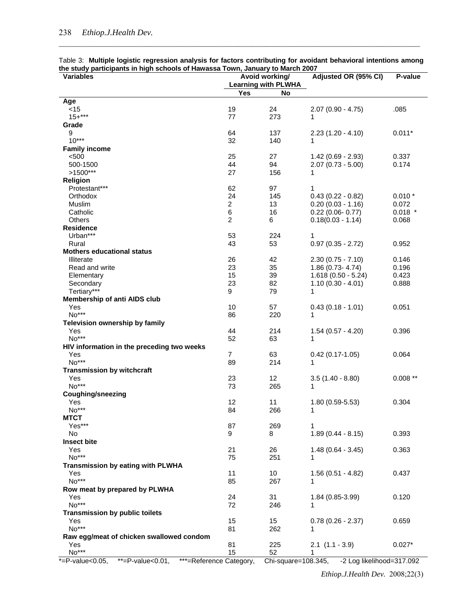|  | Table 3: Multiple logistic regression analysis for factors contributing for avoidant behavioral intentions among |  |  |  |  |
|--|------------------------------------------------------------------------------------------------------------------|--|--|--|--|
|  | the study participants in high schools of Hawassa Town, January to March 2007                                    |  |  |  |  |

| <b>Variables</b>                                |                | Avoid working/                          | Adjusted OR (95% CI)                       | P-value        |
|-------------------------------------------------|----------------|-----------------------------------------|--------------------------------------------|----------------|
|                                                 | Yes            | <b>Learning with PLWHA</b><br><b>No</b> |                                            |                |
| Age                                             |                |                                         |                                            |                |
| $<$ 15                                          | 19             | 24                                      | $2.07(0.90 - 4.75)$                        | .085           |
| $15 +***$                                       | 77             | 273                                     | 1                                          |                |
| Grade                                           |                |                                         |                                            |                |
| 9                                               | 64             | 137                                     | $2.23(1.20 - 4.10)$                        | $0.011*$       |
| $10***$                                         | 32             | 140                                     | 1                                          |                |
| <b>Family income</b>                            |                |                                         |                                            |                |
| < 500<br>500-1500                               | 25<br>44       | 27<br>94                                | $1.42(0.69 - 2.93)$<br>$2.07(0.73 - 5.00)$ | 0.337<br>0.174 |
| $>1500***$                                      | 27             | 156                                     | 1                                          |                |
| <b>Religion</b>                                 |                |                                         |                                            |                |
| Protestant***                                   | 62             | 97                                      | 1                                          |                |
| Orthodox                                        | 24             | 145                                     | $0.43(0.22 - 0.82)$                        | $0.010*$       |
| Muslim                                          | $\overline{2}$ | 13                                      | $0.20(0.03 - 1.16)$                        | 0.072          |
| Catholic                                        | 6              | 16                                      | $0.22$ (0.06- $0.77$ )                     | $0.018$ *      |
| Others                                          | $\overline{c}$ | 6                                       | $0.18(0.03 - 1.14)$                        | 0.068          |
| <b>Residence</b>                                |                |                                         |                                            |                |
| Urban***<br>Rural                               | 53<br>43       | 224<br>53                               | 1<br>$0.97$ $(0.35 - 2.72)$                | 0.952          |
| <b>Mothers educational status</b>               |                |                                         |                                            |                |
| <b>Illiterate</b>                               | 26             | 42                                      | $2.30(0.75 - 7.10)$                        | 0.146          |
| Read and write                                  | 23             | 35                                      | $1.86(0.73 - 4.74)$                        | 0.196          |
| Elementary                                      | 15             | 39                                      | $1.618(0.50 - 5.24)$                       | 0.423          |
| Secondary                                       | 23             | 82                                      | $1.10(0.30 - 4.01)$                        | 0.888          |
| Tertiary***                                     | 9              | 79                                      | 1                                          |                |
| Membership of anti AIDS club                    |                |                                         |                                            |                |
| Yes<br>No***                                    | 10             | 57                                      | $0.43(0.18 - 1.01)$                        | 0.051          |
| Television ownership by family                  | 86             | 220                                     | 1                                          |                |
| Yes                                             | 44             | 214                                     | $1.54(0.57 - 4.20)$                        | 0.396          |
| $No***$                                         | 52             | 63                                      | 1                                          |                |
| HIV information in the preceding two weeks      |                |                                         |                                            |                |
| Yes                                             | $\overline{7}$ | 63                                      | $0.42$ (0.17-1.05)                         | 0.064          |
| No***                                           | 89             | 214                                     | 1                                          |                |
| <b>Transmission by witchcraft</b>               |                |                                         |                                            |                |
| Yes<br>No***                                    | 23             | 12                                      | $3.5(1.40 - 8.80)$                         | $0.008**$      |
| <b>Coughing/sneezing</b>                        | 73             | 265                                     | 1                                          |                |
| Yes                                             | 12             | 11                                      | $1.80(0.59 - 5.53)$                        | 0.304          |
| No***                                           | 84             | 266                                     | 1                                          |                |
| <b>MTCT</b>                                     |                |                                         |                                            |                |
| Yes***                                          | 87             | 269                                     | 1                                          |                |
| <b>No</b>                                       | 9              | 8                                       | $1.89(0.44 - 8.15)$                        | 0.393          |
| <b>Insect bite</b>                              |                |                                         |                                            |                |
| Yes                                             | 21             | 26                                      | $1.48(0.64 - 3.45)$                        | 0.363          |
| No***                                           | 75             | 251                                     | 1                                          |                |
| Transmission by eating with PLWHA<br>Yes        | 11             | 10                                      | $1.56(0.51 - 4.82)$                        | 0.437          |
| No***                                           | 85             | 267                                     | 1                                          |                |
| Row meat by prepared by PLWHA                   |                |                                         |                                            |                |
| Yes                                             | 24             | 31                                      | 1.84 (0.85-3.99)                           | 0.120          |
| No***                                           | 72             | 246                                     | 1                                          |                |
| <b>Transmission by public toilets</b>           |                |                                         |                                            |                |
| Yes                                             | 15             | 15                                      | $0.78(0.26 - 2.37)$                        | 0.659          |
| $No***$                                         | 81             | 262                                     | 1                                          |                |
| Raw egg/meat of chicken swallowed condom<br>Yes | 81             | 225                                     | $2.1$ $(1.1 - 3.9)$                        | $0.027*$       |
| No***                                           | 15             | 52                                      | 1                                          |                |
| .0.05<br>$**$ D $$<br>$***$                     |                | ∩⊾:                                     | 100.215                                    | 247.002        |

\*=P-value<0.05, \*\*=P-value<0.01, \*\*\*=Reference Category, Chi-square=108.345, -2 Log likelihood=317.092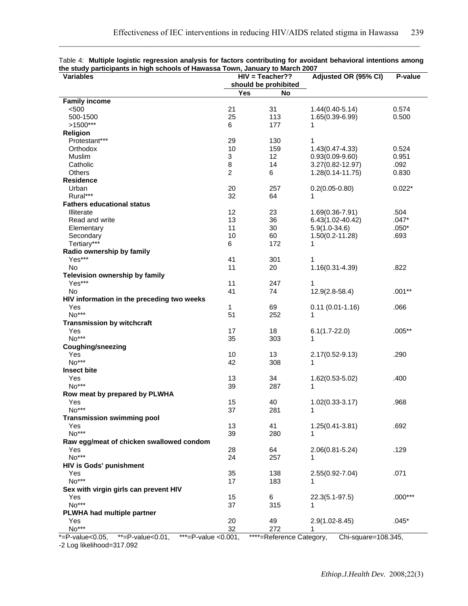| ait stuur parasparits in myn senools or nawassa Town, vanuar ji to maron zoor<br><b>Variables</b> |                | HIV = Teacher??      | Adjusted OR (95% CI) | P-value   |
|---------------------------------------------------------------------------------------------------|----------------|----------------------|----------------------|-----------|
|                                                                                                   |                | should be prohibited |                      |           |
|                                                                                                   | <b>Yes</b>     | <b>No</b>            |                      |           |
| <b>Family income</b>                                                                              |                |                      |                      |           |
| < 500                                                                                             | 21             | 31                   | $1.44(0.40 - 5.14)$  | 0.574     |
| 500-1500                                                                                          | 25             | 113                  |                      | 0.500     |
|                                                                                                   |                | 177                  | $1.65(0.39 - 6.99)$  |           |
| $>1500***$                                                                                        | 6              |                      | 1                    |           |
| <b>Religion</b>                                                                                   |                |                      |                      |           |
| Protestant***                                                                                     | 29             | 130                  | 1                    |           |
| Orthodox                                                                                          | 10             | 159                  | $1.43(0.47 - 4.33)$  | 0.524     |
| Muslim                                                                                            | 3              | 12                   | $0.93(0.09-9.60)$    | 0.951     |
| Catholic                                                                                          | 8              | 14                   | 3.27(0.82-12.97)     | .092      |
| Others                                                                                            | $\overline{c}$ | 6                    | $1.28(0.14 - 11.75)$ | 0.830     |
| <b>Residence</b>                                                                                  |                |                      |                      |           |
| Urban                                                                                             | 20             | 257                  | $0.2(0.05 - 0.80)$   | $0.022*$  |
| Rural***                                                                                          | 32             | 64                   | 1                    |           |
| <b>Fathers educational status</b>                                                                 |                |                      |                      |           |
| <b>Illiterate</b>                                                                                 | 12             | 23                   | $1.69(0.36 - 7.91)$  | .504      |
| Read and write                                                                                    | 13             | 36                   | 6.43(1.02-40.42)     | $.047*$   |
| Elementary                                                                                        | 11             | 30                   | $5.9(1.0-34.6)$      | $.050*$   |
| Secondary                                                                                         | 10             | 60                   | $1.50(0.2 - 11.28)$  | .693      |
| Tertiary***                                                                                       | 6              | 172                  | 1                    |           |
| Radio ownership by family                                                                         |                |                      |                      |           |
| Yes***                                                                                            | 41             | 301                  | 1                    |           |
| <b>No</b>                                                                                         | 11             | 20                   | $1.16(0.31 - 4.39)$  | .822      |
| Television ownership by family                                                                    |                |                      |                      |           |
| Yes***                                                                                            | 11             | 247                  | 1                    |           |
| No                                                                                                | 41             | 74                   | $12.9(2.8-58.4)$     | $.001**$  |
| HIV information in the preceding two weeks                                                        |                |                      |                      |           |
| Yes                                                                                               | 1              | 69                   | $0.11(0.01-1.16)$    | .066      |
| No***                                                                                             | 51             | 252                  | 1                    |           |
| <b>Transmission by witchcraft</b>                                                                 |                |                      |                      |           |
| Yes                                                                                               | 17             | 18                   | $6.1(1.7 - 22.0)$    | $.005**$  |
| $No***$                                                                                           | 35             | 303                  | 1                    |           |
| <b>Coughing/sneezing</b>                                                                          |                |                      |                      |           |
| Yes                                                                                               | 10             | 13                   | $2.17(0.52 - 9.13)$  | .290      |
| No***                                                                                             | 42             | 308                  | 1                    |           |
| <b>Insect bite</b>                                                                                |                |                      |                      |           |
| Yes                                                                                               | 13             | 34                   | 1.62(0.53-5.02)      | .400      |
| No***                                                                                             | 39             | 287                  | 1                    |           |
| Row meat by prepared by PLWHA                                                                     |                |                      |                      |           |
| Yes                                                                                               | 15             | 40                   | $1.02(0.33 - 3.17)$  | .968      |
| No***                                                                                             | 37             | 281                  | 1                    |           |
| <b>Transmission swimming pool</b>                                                                 |                |                      |                      |           |
| Yes                                                                                               | 13             | 41                   | $1.25(0.41 - 3.81)$  | .692      |
| No***                                                                                             | 39             | 280                  | 1                    |           |
| Raw egg/meat of chicken swallowed condom                                                          |                |                      |                      |           |
| Yes                                                                                               | 28             | 64                   | $2.06(0.81 - 5.24)$  | .129      |
| No***                                                                                             | 24             | 257                  |                      |           |
| <b>HIV is Gods' punishment</b>                                                                    |                |                      |                      |           |
| Yes                                                                                               | 35             | 138                  | $2.55(0.92 - 7.04)$  | .071      |
| $No***$                                                                                           | 17             | 183                  | 1                    |           |
| Sex with virgin girls can prevent HIV                                                             |                |                      |                      |           |
| Yes                                                                                               | 15             | 6                    | 22.3(5.1-97.5)       | $.000***$ |
| No***                                                                                             | 37             | 315                  | 1                    |           |
| PLWHA had multiple partner                                                                        |                |                      |                      |           |
| Yes                                                                                               | 20             | 49                   | $2.9(1.02 - 8.45)$   | $.045*$   |
| No***                                                                                             | 32             | 272                  | 1                    |           |
|                                                                                                   |                |                      |                      |           |

|  | Table 4: Multiple logistic regression analysis for factors contributing for avoidant behavioral intentions among |  |  |  |  |
|--|------------------------------------------------------------------------------------------------------------------|--|--|--|--|
|  | the study participants in high schools of Hawassa Town, January to March 2007                                    |  |  |  |  |

\*=P-value<0.05, \*\*=P-value<0.01, \*\*\*=P-value <0.001, \*\*\*\*=Reference Category, Chi-square=108.345,

-2 Log likelihood=317.092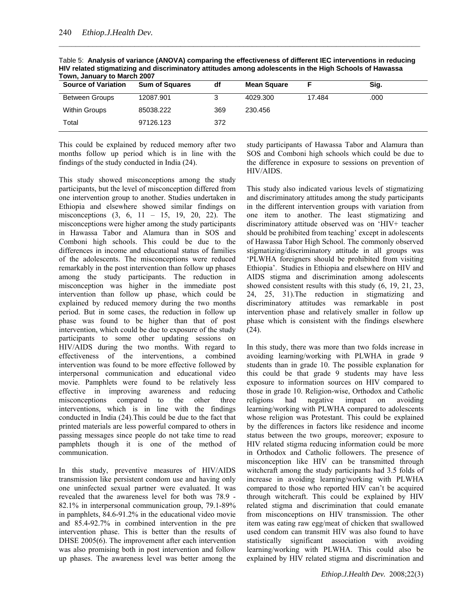| <b>Source of Variation</b> | <b>Sum of Squares</b> | df  | <b>Mean Square</b> |        | Sig. |  |
|----------------------------|-----------------------|-----|--------------------|--------|------|--|
| <b>Between Groups</b>      | 12087.901             |     | 4029.300           | 17.484 | .000 |  |
| <b>Within Groups</b>       | 85038.222             | 369 | 230.456            |        |      |  |
| Total                      | 97126.123             | 372 |                    |        |      |  |

Table 5: **Analysis of variance (ANOVA) comparing the effectiveness of different IEC interventions in reducing HIV related stigmatizing and discriminatory attitudes among adolescents in the High Schools of Hawassa To March 2007** 

This could be explained by reduced memory after two months follow up period which is in line with the findings of the study conducted in India (24).

This study showed misconceptions among the study participants, but the level of misconception differed from one intervention group to another. Studies undertaken in Ethiopia and elsewhere showed similar findings on misconceptions (3, 6, 11 – 15, 19, 20, 22). The misconceptions were higher among the study participants in Hawassa Tabor and Alamura than in SOS and Comboni high schools. This could be due to the differences in income and educational status of families of the adolescents. The misconceptions were reduced remarkably in the post intervention than follow up phases among the study participants. The reduction in misconception was higher in the immediate post intervention than follow up phase, which could be explained by reduced memory during the two months period. But in some cases, the reduction in follow up phase was found to be higher than that of post intervention, which could be due to exposure of the study participants to some other updating sessions on HIV/AIDS during the two months. With regard to effectiveness of the interventions, a combined intervention was found to be more effective followed by interpersonal communication and educational video movie. Pamphlets were found to be relatively less effective in improving awareness and reducing misconceptions compared to the other three interventions, which is in line with the findings conducted in India (24).This could be due to the fact that printed materials are less powerful compared to others in passing messages since people do not take time to read pamphlets though it is one of the method of communication.

In this study, preventive measures of HIV/AIDS transmission like persistent condom use and having only one uninfected sexual partner were evaluated. It was revealed that the awareness level for both was 78.9 - 82.1% in interpersonal communication group, 79.1-89% in pamphlets, 84.6-91.2% in the educational video movie and 85.4-92.7% in combined intervention in the pre intervention phase. This is better than the results of DHSE 2005(6). The improvement after each intervention was also promising both in post intervention and follow up phases. The awareness level was better among the

study participants of Hawassa Tabor and Alamura than SOS and Comboni high schools which could be due to the difference in exposure to sessions on prevention of HIV/AIDS.

This study also indicated various levels of stigmatizing and discriminatory attitudes among the study participants in the different intervention groups with variation from one item to another. The least stigmatizing and discriminatory attitude observed was on 'HIV+ teacher should be prohibited from teaching' except in adolescents of Hawassa Tabor High School. The commonly observed stigmatizing/discriminatory attitude in all groups was 'PLWHA foreigners should be prohibited from visiting Ethiopia'. Studies in Ethiopia and elsewhere on HIV and AIDS stigma and discrimination among adolescents showed consistent results with this study (6, 19, 21, 23, 24, 25, 31).The reduction in stigmatizing and discriminatory attitudes was remarkable in post intervention phase and relatively smaller in follow up phase which is consistent with the findings elsewhere (24).

In this study, there was more than two folds increase in avoiding learning/working with PLWHA in grade 9 students than in grade 10. The possible explanation for this could be that grade 9 students may have less exposure to information sources on HIV compared to those in grade 10. Religion-wise, Orthodox and Catholic religions had negative impact on avoiding learning/working with PLWHA compared to adolescents whose religion was Protestant. This could be explained by the differences in factors like residence and income status between the two groups, moreover; exposure to HIV related stigma reducing information could be more in Orthodox and Catholic followers. The presence of misconception like HIV can be transmitted through witchcraft among the study participants had 3.5 folds of increase in avoiding learning/working with PLWHA compared to those who reported HIV can't be acquired through witchcraft. This could be explained by HIV related stigma and discrimination that could emanate from misconceptions on HIV transmission. The other item was eating raw egg/meat of chicken that swallowed used condom can transmit HIV was also found to have statistically significant association with avoiding learning/working with PLWHA. This could also be explained by HIV related stigma and discrimination and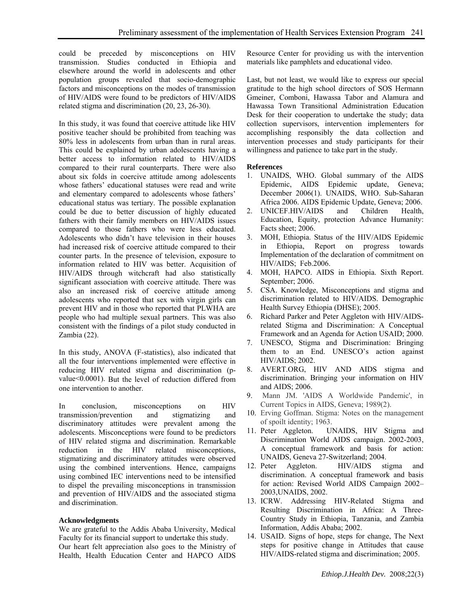could be preceded by misconceptions on HIV transmission. Studies conducted in Ethiopia and elsewhere around the world in adolescents and other population groups revealed that socio-demographic factors and misconceptions on the modes of transmission of HIV/AIDS were found to be predictors of HIV/AIDS related stigma and discrimination (20, 23, 26-30).

In this study, it was found that coercive attitude like HIV positive teacher should be prohibited from teaching was 80% less in adolescents from urban than in rural areas. This could be explained by urban adolescents having a better access to information related to HIV/AIDS compared to their rural counterparts. There were also about six folds in coercive attitude among adolescents whose fathers' educational statuses were read and write and elementary compared to adolescents whose fathers' educational status was tertiary. The possible explanation could be due to better discussion of highly educated fathers with their family members on HIV/AIDS issues compared to those fathers who were less educated. Adolescents who didn't have television in their houses had increased risk of coercive attitude compared to their counter parts. In the presence of television, exposure to information related to HIV was better. Acquisition of HIV/AIDS through witchcraft had also statistically significant association with coercive attitude. There was also an increased risk of coercive attitude among adolescents who reported that sex with virgin girls can prevent HIV and in those who reported that PLWHA are people who had multiple sexual partners. This was also consistent with the findings of a pilot study conducted in Zambia (22).

In this study, ANOVA (F-statistics), also indicated that all the four interventions implemented were effective in reducing HIV related stigma and discrimination (pvalue<0.0001). But the level of reduction differed from one intervention to another.

In conclusion, misconceptions on HIV transmission/prevention and stigmatizing and discriminatory attitudes were prevalent among the adolescents. Misconceptions were found to be predictors of HIV related stigma and discrimination. Remarkable reduction in the HIV related misconceptions, stigmatizing and discriminatory attitudes were observed using the combined interventions. Hence, campaigns using combined IEC interventions need to be intensified to dispel the prevailing misconceptions in transmission and prevention of HIV/AIDS and the associated stigma and discrimination.

## **Acknowledgments**

We are grateful to the Addis Ababa University, Medical Faculty for its financial support to undertake this study. Our heart felt appreciation also goes to the Ministry of Health, Health Education Center and HAPCO AIDS Resource Center for providing us with the intervention materials like pamphlets and educational video.

Last, but not least, we would like to express our special gratitude to the high school directors of SOS Hermann Gmeiner, Comboni, Hawassa Tabor and Alamura and Hawassa Town Transitional Administration Education Desk for their cooperation to undertake the study; data collection supervisors, intervention implementers for accomplishing responsibly the data collection and intervention processes and study participants for their willingness and patience to take part in the study.

# **References**

- 1. UNAIDS, WHO. Global summary of the AIDS Epidemic, AIDS Epidemic update, Geneva; December 2006(1). UNAIDS, WHO. Sub-Saharan Africa 2006. AIDS Epidemic Update, Geneva; 2006.
- 2. UNICEF.HIV/AIDS and Children Health, Education, Equity, protection Advance Humanity: Facts sheet; 2006.
- 3. MOH, Ethiopia. Status of the HIV/AIDS Epidemic in Ethiopia, Report on progress towards Implementation of the declaration of commitment on HIV/AIDS; Feb.2006.
- 4. MOH, HAPCO. AIDS in Ethiopia. Sixth Report. September; 2006.
- 5. CSA. Knowledge, Misconceptions and stigma and discrimination related to HIV/AIDS. Demographic Health Survey Ethiopia (DHSE); 2005.
- 6. Richard Parker and Peter Aggleton with HIV/AIDSrelated Stigma and Discrimination: A Conceptual Framework and an Agenda for Action USAID; 2000.
- 7. UNESCO, Stigma and Discrimination: Bringing them to an End. UNESCO's action against HIV/AIDS; 2002.
- 8. AVERT.ORG, HIV AND AIDS stigma and discrimination. Bringing your information on HIV and AIDS; 2006.
- 9. Mann JM. 'AIDS A Worldwide Pandemic', in Current Topics in AIDS, Geneva; 1989(2).
- 10. Erving Goffman. Stigma: Notes on the management of spoilt identity; 1963.
- 11. Peter Aggleton. UNAIDS, HIV Stigma and Discrimination World AIDS campaign. 2002-2003, A conceptual framework and basis for action: UNAIDS, Geneva 27-Switzerland; 2004.
- 12. Peter Aggleton. HIV/AIDS stigma and discrimination. A conceptual framework and basis for action: Revised World AIDS Campaign 2002– 2003,UNAIDS, 2002.
- 13. ICRW. Addressing HIV-Related Stigma and Resulting Discrimination in Africa: A Three-Country Study in Ethiopia, Tanzania, and Zambia Information, Addis Ababa; 2002.
- 14. USAID. Signs of hope, steps for change, The Next steps for positive change in Attitudes that cause HIV/AIDS-related stigma and discrimination; 2005.